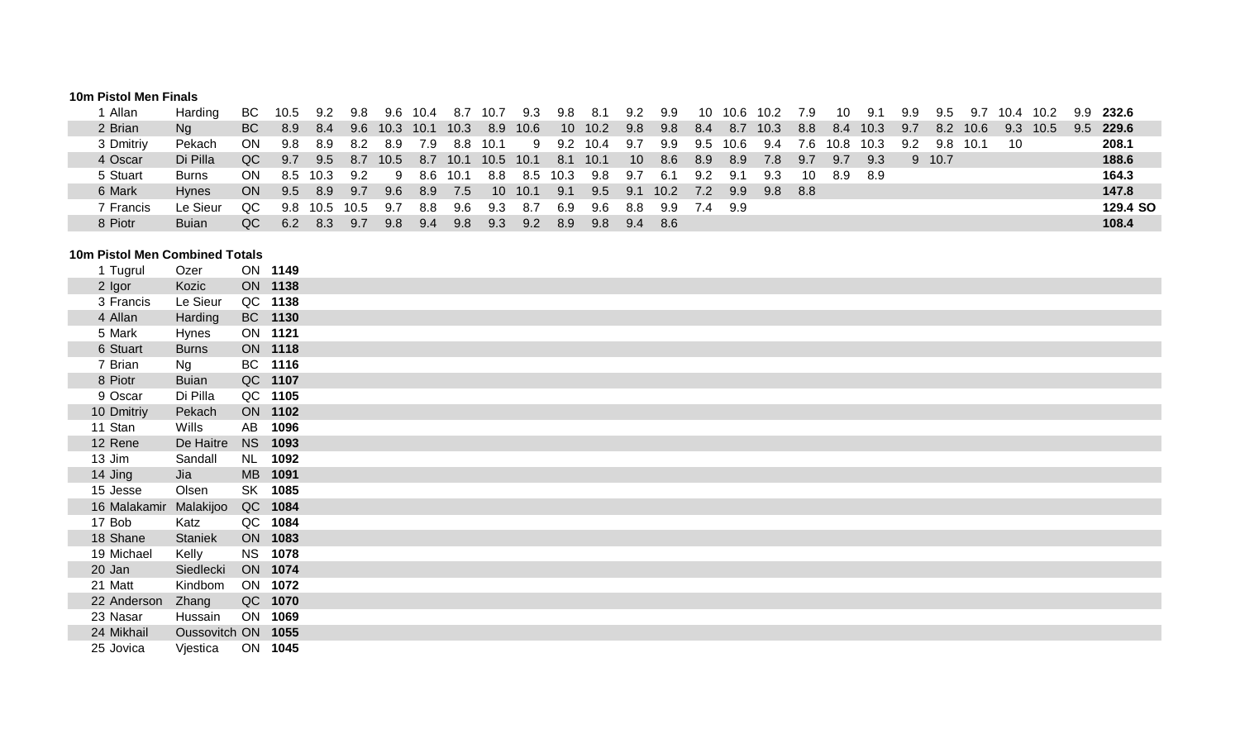#### **10m Pistol Men Finals**

| Allan     | Harding      | BC.       | 10.5          | 9.2  | 9.8  |           | 9.6 10.4 | -8.7 | 10.7            | 9.3  | 9.8             | -8.1 | 9.2 | 9.9   | 10  | 10.6 10.2 |      | 7.9   | 10        | -9.1  | 9.9 | 9.5      | 9.7      | 10.4 10.2 |      |     | 9.9 232.6 |
|-----------|--------------|-----------|---------------|------|------|-----------|----------|------|-----------------|------|-----------------|------|-----|-------|-----|-----------|------|-------|-----------|-------|-----|----------|----------|-----------|------|-----|-----------|
| 2 Brian   | Na           | <b>BC</b> | 8.9           | 8.4  | 9.6  | 10.3 10.1 |          | 10.3 | 8.9             | 10.6 | 10 <sup>1</sup> | 10.2 | 9.8 | 9.8   | 8.4 | 8.7       | 10.3 | 8.8   | -8.4      | 10.3  | 9.7 |          | 8.2 10.6 | 9.3       | 10.5 | 9.5 | 229.6     |
| 3 Dmitriy | Pekach       | ON.       | 9.8           | 8.9  | -8.2 | 8.9       | 7.9      | 8.8  | 10.1            |      | 9 9.2 10.4      |      | 9.7 | 9.9   | 9.5 | 10.6      | 9.4  | 7.6   | 10.8 10.3 |       | 9.2 | 9.8 10.1 |          | 10        |      |     | 208.1     |
| 4 Oscar   | Di Pilla     | QC.       | 9.7           | 9.5  | 8.7  | 10.5      | 8.7      | 10.1 | 10.5            | 10.1 | -8.1            | 10.1 | 10  | 8.6   | 8.9 | 8.9       | 7.8  | 9.7   | 9.7       | 9.3   |     | 9 10.7   |          |           |      |     | 188.6     |
| 5 Stuart  | <b>Burns</b> | ON.       | 8.5           | 10.3 | 9.2  | - 9       | 8.6      | 10.1 | 8.8             | 8.5  | 10.3            | 9.8  | 9.7 | - 6.1 | 9.2 | 9.1       | 9.3  | 10    | 8.9       | - 8.9 |     |          |          |           |      |     | 164.3     |
| 6 Mark    | <b>Hynes</b> | <b>ON</b> | $9.5^{\circ}$ | 8.9  | 9.7  | 9.6       | 8.9      | 7.5  | 10 <sup>1</sup> | 10.1 | 9.1             | 9.5  | 9.1 | 10.2  | 7.2 | 9.9       | 9.8  | - 8.8 |           |       |     |          |          |           |      |     | 147.8     |
| 7 Francis | Le Sieur     | QC.       | 9.8           | 10.5 | 10.5 | 9.7       | 8.8      | 9.6  | 9.3             | -8.7 | 6.9             | -9.6 | 8.8 | 9.9   | 7.4 | 9.9       |      |       |           |       |     |          |          |           |      |     | 129.4 SO  |
| 8 Piotr   | <b>Buian</b> | QC        | 6.2           | 8.3  | 9.7  | 9.8       | 9.4      | 9.8  | 9.3             | 9.2  | 8.9             | 9.8  | 9.4 | - 8.6 |     |           |      |       |           |       |     |          |          |           |      |     | 108.4     |

#### **10m Pistol Men Combined Totals**

| 1 Tugrul               | Ozer               | ON 1149   |      |  |
|------------------------|--------------------|-----------|------|--|
| 2 Igor                 | Kozic              | ON 1138   |      |  |
| 3 Francis              | Le Sieur           | QC 1138   |      |  |
| 4 Allan                | Harding            | BC 1130   |      |  |
| 5 Mark                 | Hynes              | ON 1121   |      |  |
| 6 Stuart               | <b>Burns</b>       | ON 1118   |      |  |
| 7 Brian                | Ng                 | BC 1116   |      |  |
| 8 Piotr                | <b>Buian</b>       | QC 1107   |      |  |
| 9 Oscar                | Di Pilla           | QC 1105   |      |  |
| 10 Dmitriy             | Pekach             | ON 1102   |      |  |
| 11 Stan                | Wills              | AB 1096   |      |  |
| 12 Rene                | De Haitre          | NS 1093   |      |  |
| 13 Jim                 | Sandall            | <b>NL</b> | 1092 |  |
| 14 Jing                | Jia                | MB 1091   |      |  |
| 15 Jesse               | Olsen              | SK 1085   |      |  |
| 16 Malakamir Malakijoo |                    | QC 1084   |      |  |
| 17 Bob                 | Katz               | QC 1084   |      |  |
| 18 Shane               | Staniek            | ON 1083   |      |  |
| 19 Michael             | Kelly              | NS 1078   |      |  |
| 20 Jan                 | Siedlecki          | ON 1074   |      |  |
| 21 Matt                | Kindbom            | ON 1072   |      |  |
| 22 Anderson            | Zhang              | QC 1070   |      |  |
| 23 Nasar               | Hussain            | ON 1069   |      |  |
| 24 Mikhail             | Oussovitch ON 1055 |           |      |  |
| 25 Jovica              | Vjestica           | ON 1045   |      |  |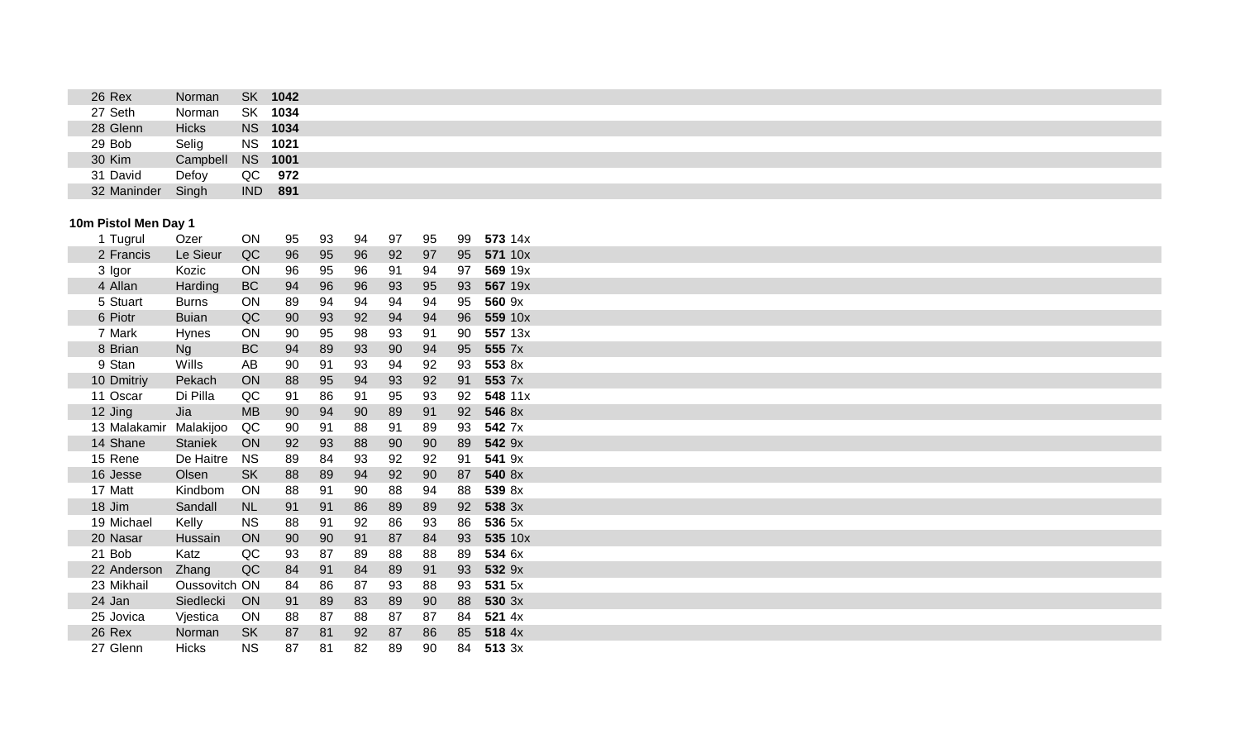| 26 Rex      | Norman       | <b>SK</b>  | 1042           |  |
|-------------|--------------|------------|----------------|--|
| 27 Seth     | Norman       | SK         | 1034           |  |
| 28 Glenn    | <b>Hicks</b> |            | <b>NS 1034</b> |  |
| 29 Bob      | Selig        |            | <b>NS 1021</b> |  |
| 30 Kim      | Campbell     | <b>NS</b>  | 1001           |  |
| 31 David    | Defoy        | QC         | 972            |  |
| 32 Maninder | Singh        | <b>IND</b> | 891            |  |

# **10m Pistol Men Day 1**

| Tugrul       | Ozer          | ON        | 95 | 93 | 94 | 97 | 95 | 99 | 573 14x |
|--------------|---------------|-----------|----|----|----|----|----|----|---------|
| 2 Francis    | Le Sieur      | QC        | 96 | 95 | 96 | 92 | 97 | 95 | 571 10x |
| 3 Igor       | Kozic         | ON        | 96 | 95 | 96 | 91 | 94 | 97 | 569 19x |
| 4 Allan      | Harding       | BC        | 94 | 96 | 96 | 93 | 95 | 93 | 567 19x |
| 5 Stuart     | <b>Burns</b>  | <b>ON</b> | 89 | 94 | 94 | 94 | 94 | 95 | 560 9x  |
| 6 Piotr      | <b>Buian</b>  | QC        | 90 | 93 | 92 | 94 | 94 | 96 | 559 10x |
| 7 Mark       | <b>Hynes</b>  | <b>ON</b> | 90 | 95 | 98 | 93 | 91 | 90 | 557 13x |
| 8 Brian      | <b>Ng</b>     | BC        | 94 | 89 | 93 | 90 | 94 | 95 | 555 7x  |
| 9 Stan       | Wills         | AB        | 90 | 91 | 93 | 94 | 92 | 93 | 553 8x  |
| 10 Dmitriy   | Pekach        | ON        | 88 | 95 | 94 | 93 | 92 | 91 | 553 7x  |
| 11 Oscar     | Di Pilla      | QC        | 91 | 86 | 91 | 95 | 93 | 92 | 548 11x |
| 12 Jing      | Jia           | <b>MB</b> | 90 | 94 | 90 | 89 | 91 | 92 | 546 8x  |
| 13 Malakamir | Malakijoo     | QC        | 90 | 91 | 88 | 91 | 89 | 93 | 542 7x  |
| 14 Shane     | Staniek       | ON        | 92 | 93 | 88 | 90 | 90 | 89 | 542 9x  |
| 15 Rene      | De Haitre     | <b>NS</b> | 89 | 84 | 93 | 92 | 92 | 91 | 541 9x  |
| 16 Jesse     | Olsen         | <b>SK</b> | 88 | 89 | 94 | 92 | 90 | 87 | 540 8x  |
| 17 Matt      | Kindbom       | ON        | 88 | 91 | 90 | 88 | 94 | 88 | 539 8x  |
| 18 Jim       | Sandall       | <b>NL</b> | 91 | 91 | 86 | 89 | 89 | 92 | 538 3x  |
| 19 Michael   | Kelly         | <b>NS</b> | 88 | 91 | 92 | 86 | 93 | 86 | 536 5x  |
| 20 Nasar     | Hussain       | ON        | 90 | 90 | 91 | 87 | 84 | 93 | 535 10x |
| 21 Bob       | Katz          | QC        | 93 | 87 | 89 | 88 | 88 | 89 | 534 6x  |
| 22 Anderson  | Zhang         | QC        | 84 | 91 | 84 | 89 | 91 | 93 | 532 9x  |
| 23 Mikhail   | Oussovitch ON |           | 84 | 86 | 87 | 93 | 88 | 93 | 531 5x  |
| 24 Jan       | Siedlecki     | ON        | 91 | 89 | 83 | 89 | 90 | 88 | 530 3x  |
| 25 Jovica    | Vjestica      | ON        | 88 | 87 | 88 | 87 | 87 | 84 | 521 4x  |
| 26 Rex       | Norman        | <b>SK</b> | 87 | 81 | 92 | 87 | 86 | 85 | 518 4x  |
| 27 Glenn     | <b>Hicks</b>  | <b>NS</b> | 87 | 81 | 82 | 89 | 90 | 84 | 513 3x  |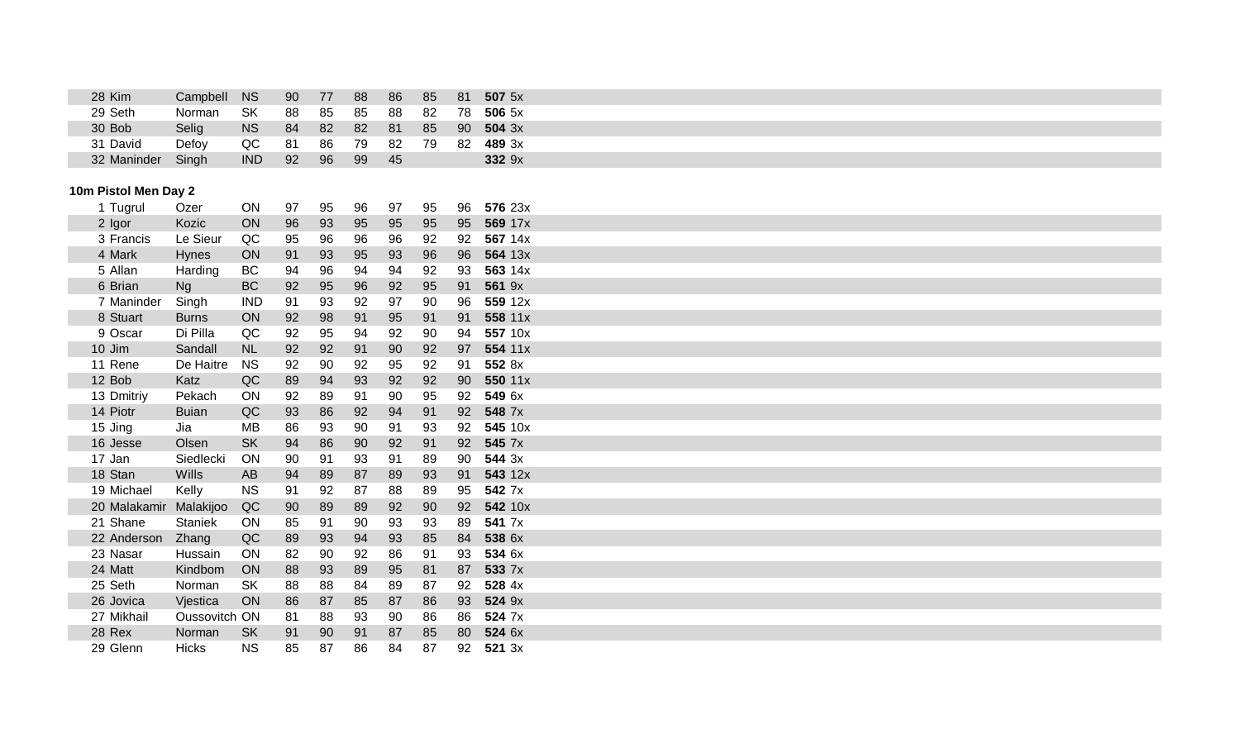| 28 Kim      | Campbell NS |            | 90  | 77 | 88 | 86 | 85 | 81              | $507$ 5x |
|-------------|-------------|------------|-----|----|----|----|----|-----------------|----------|
| 29 Seth     | Norman      | .SK        | 88  | 85 | 85 | 88 | 82 | 78              | 506 5x   |
| 30 Bob      | Selig       | <b>NS</b>  | 84  | 82 | 82 | 81 | 85 | 90 <sup>°</sup> | 504.3x   |
| 31 David    | Defoy       | QC         | -81 | 86 | 79 | 82 | 79 | -82             | 489 3x   |
| 32 Maninder | Singh       | <b>IND</b> | 92  | 96 | 99 | 45 |    |                 | 332 9x   |

# **10m Pistol Men Day 2**

| Tugrul     | Ozer                                                                                                                                 | ON                                                | 97                                     | 95                         | 96                               | 97                         | 95             | 96                                     | 576 23x  |
|------------|--------------------------------------------------------------------------------------------------------------------------------------|---------------------------------------------------|----------------------------------------|----------------------------|----------------------------------|----------------------------|----------------|----------------------------------------|----------|
| 2 Igor     | Kozic                                                                                                                                | ON                                                | 96                                     | 93                         | 95                               | 95                         | 95             | 95                                     | 569 17x  |
| 3 Francis  | Le Sieur                                                                                                                             | QC                                                | 95                                     | 96                         | 96                               | 96                         | 92             | 92                                     | 567 14x  |
| 4 Mark     | <b>Hynes</b>                                                                                                                         | ON                                                | 91                                     | 93                         | 95                               | 93                         | 96             | 96                                     | 564 13x  |
| 5 Allan    | Harding                                                                                                                              | BC                                                | 94                                     | 96                         | 94                               | 94                         | 92             | 93                                     | 563 14x  |
| 6 Brian    | <b>Ng</b>                                                                                                                            | <b>BC</b>                                         | 92                                     | 95                         | 96                               | 92                         | 95             | 91                                     | 561 9x   |
| 7 Maninder |                                                                                                                                      | <b>IND</b>                                        | 91                                     | 93                         | 92                               | 97                         | 90             | 96                                     | 559 12x  |
| 8 Stuart   | <b>Burns</b>                                                                                                                         | ON                                                | 92                                     | 98                         | 91                               | 95                         | 91             | 91                                     | 558 11x  |
| 9 Oscar    | Di Pilla                                                                                                                             | QC                                                | 92                                     | 95                         | 94                               | 92                         | 90             | 94                                     | 557 10x  |
| 10 Jim     | Sandall                                                                                                                              | <b>NL</b>                                         | 92                                     | 92                         | 91                               | 90                         | 92             | 97                                     | 554 11x  |
| 11 Rene    | De Haitre                                                                                                                            | <b>NS</b>                                         | 92                                     | 90                         | 92                               | 95                         | 92             | 91                                     | 552 8x   |
| 12 Bob     | Katz                                                                                                                                 | QC                                                | 89                                     | 94                         | 93                               | 92                         | 92             | 90                                     | 550 11x  |
| 13 Dmitriy | Pekach                                                                                                                               | ON                                                | 92                                     | 89                         | 91                               | 90                         | 95             | 92                                     | 549 6x   |
|            | <b>Buian</b>                                                                                                                         | QC                                                | 93                                     |                            | 92                               | 94                         | 91             | 92                                     | 548 7x   |
|            | Jia                                                                                                                                  | МB                                                | 86                                     | 93                         | 90                               | 91                         | 93             | 92                                     | 545 10x  |
|            | Olsen                                                                                                                                | <b>SK</b>                                         | 94                                     | 86                         | 90                               | 92                         | 91             | 92                                     | 545 7x   |
| 17 Jan     | Siedlecki                                                                                                                            | ON                                                | 90                                     | 91                         | 93                               | 91                         | 89             | 90                                     | 544 3x   |
|            | <b>Wills</b>                                                                                                                         | AB                                                | 94                                     | 89                         | 87                               | 89                         | 93             | 91                                     | 543 12x  |
| 19 Michael | Kelly                                                                                                                                | <b>NS</b>                                         | 91                                     | 92                         | 87                               | 88                         | 89             | 95                                     | 542 7x   |
|            |                                                                                                                                      |                                                   |                                        |                            |                                  | 92                         |                | 92                                     | 542 10x  |
| 21 Shane   | <b>Staniek</b>                                                                                                                       | ON                                                | 85                                     | 91                         | 90                               | 93                         |                | 89                                     | 541 7x   |
|            |                                                                                                                                      |                                                   |                                        |                            | 94                               | 93                         |                | 84                                     | 538 6x   |
| 23 Nasar   | Hussain                                                                                                                              | ON                                                | 82                                     | 90                         | 92                               | 86                         | 91             | 93                                     | 534 6x   |
|            | Kindbom                                                                                                                              | ON                                                | 88                                     |                            |                                  |                            |                | 87                                     | 533 7x   |
|            | Norman                                                                                                                               | <b>SK</b>                                         | 88                                     | 88                         | 84                               | 89                         | 87             | 92                                     | 528 4x   |
|            |                                                                                                                                      | ON                                                |                                        | 87                         |                                  | 87                         |                | 93                                     | 524 9x   |
|            |                                                                                                                                      |                                                   |                                        |                            |                                  |                            |                |                                        | 524 7x   |
|            |                                                                                                                                      |                                                   |                                        |                            |                                  |                            |                |                                        | 524 6x   |
| 29 Glenn   | <b>Hicks</b>                                                                                                                         | <b>NS</b>                                         | 85                                     | 87                         | 86                               | 84                         | 87             | 92                                     | 521 3x   |
|            | 14 Piotr<br>15 Jing<br>16 Jesse<br>18 Stan<br>20 Malakamir<br>22 Anderson<br>24 Matt<br>25 Seth<br>26 Jovica<br>27 Mikhail<br>28 Rex | Singh<br>Malakijoo<br>Zhang<br>Vjestica<br>Norman | QC<br>QC<br>Oussovitch ON<br><b>SK</b> | 90<br>89<br>86<br>81<br>91 | 86<br>89<br>93<br>93<br>88<br>90 | 89<br>89<br>85<br>93<br>91 | 95<br>90<br>87 | 90<br>93<br>85<br>81<br>86<br>86<br>85 | 86<br>80 |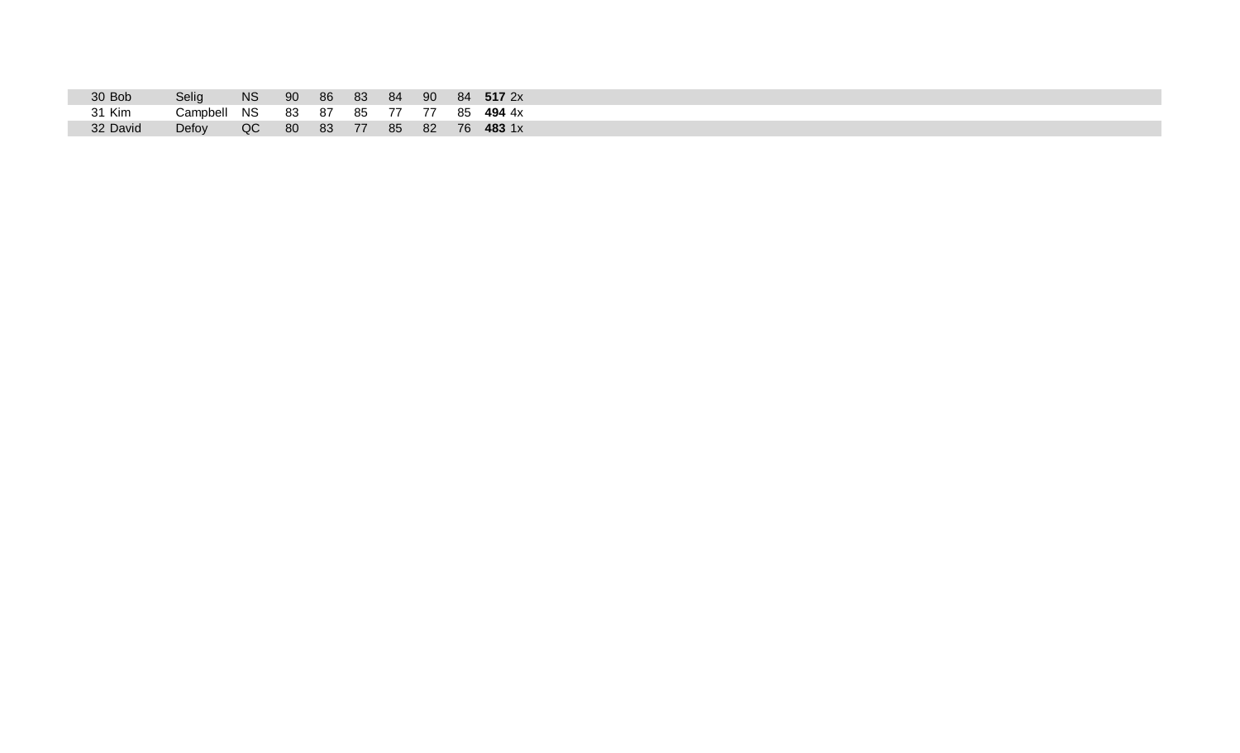| 30 Bob   | Selig                                | <b>NS</b> |  |  |  | 90 86 83 84 90 84 <b>517</b> 2x |
|----------|--------------------------------------|-----------|--|--|--|---------------------------------|
| 31 Kim   | Campbell NS 83 87 85 77 77 85 494 4x |           |  |  |  |                                 |
| 32 David | Defoy QC 80 83 77 85 82 76 483 1x    |           |  |  |  |                                 |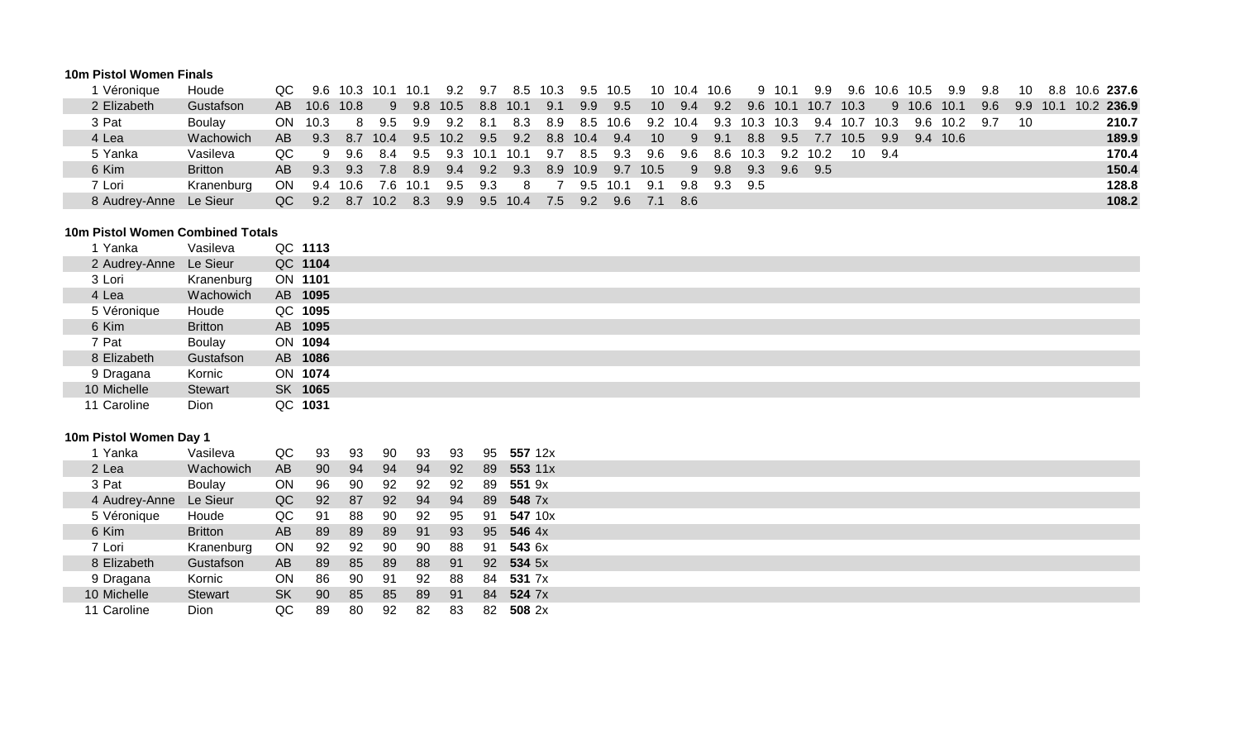#### **10m Pistol Women Finals**

| Véronique     | Houde          |     |           | QC 9.6 10.3 10.1 |      | - 10.1   | 9.2          | 9.7   |                  | 8.5 10.3 |     | 9.5 10.5          |                 |      | 10 10.4 10.6 |                             | 9 10.1 | 9.9      |           |              |             | 9.6 10.6 10.5 9.9 | 9.8 | 10   |          | 8.8 10.6 237.6 |
|---------------|----------------|-----|-----------|------------------|------|----------|--------------|-------|------------------|----------|-----|-------------------|-----------------|------|--------------|-----------------------------|--------|----------|-----------|--------------|-------------|-------------------|-----|------|----------|----------------|
| 2 Elizabeth   | Gustafson      | AB. | 10.6 10.8 |                  | 9    |          | 9.8 10.5     | 8.8   | 10.1             | 9.1      | 9.9 | 9.5               | 10 <sup>°</sup> | 9.4  |              | 9.2 9.6 10.1                |        |          | 10.7 10.3 |              | 9 10.6 10.1 |                   | 9.6 |      | 9.9 10.1 | 10.2 236.9     |
| 3 Pat         | <b>Boulav</b>  |     | ON 10.3   | -8               | 9.5  | 9.9      | 9.2          | - 8.1 | 8.3              | 8.9      |     | 8.5 10.6 9.2 10.4 |                 |      |              | 9.3 10.3 10.3 9.4 10.7 10.3 |        |          |           |              |             | 9.6 10.2 9.7      |     | - 10 |          | 210.7          |
| 4 Lea         | Wachowich      | AB. | 9.3       | 8.7              | 10.4 |          | 9.5 10.2     |       | 9.5 9.2 8.8 10.4 |          |     | 9.4               | 10 <sup>°</sup> |      |              | 9 9.1 8.8 9.5               |        |          |           | 7.7 10.5 9.9 | 9.4 10.6    |                   |     |      |          | 189.9          |
| 5 Yanka       | Vasileva       | OC. | - 9       | 96               | 8.4  |          | 9.5 9.3 10.1 |       | 10.1             | 9.7      | 8.5 | 9.3               | 9.6             | 9.6  |              | 8.6 10.3                    |        | 9.2 10.2 |           | 10 9.4       |             |                   |     |      |          | 170.4          |
| 6 Kim         | <b>Britton</b> | AB. | 9.3       | 9.3              | 7.8  | 8.9      | 9.4          |       | 9.2 9.3 8.9 10.9 |          |     | 9.7 10.5          |                 |      |              | 9 9.8 9.3 9.6 9.5           |        |          |           |              |             |                   |     |      |          | 150.4          |
| 7 Lori        | Kranenburg     |     |           | ON 9.4 10.6      |      | 7.6 10.1 | 9.5          | 9.3   | 8                |          |     | 9.5 10.1 9.1      |                 |      | 9.8 9.3 9.5  |                             |        |          |           |              |             |                   |     |      |          | 128.8          |
| 8 Audrey-Anne | Le Sieur       | QC  | 9.2       | 8.7              | 10.2 | 8.3      | 9.9          |       | 9.5 10.4         | 7.5      | 9.2 |                   | 9.6 7.1         | -8.6 |              |                             |        |          |           |              |             |                   |     |      |          | 108.2          |

#### **10m Pistol Women Combined Totals**

| 1 Yanka                | Vasileva       | QC 1113        |
|------------------------|----------------|----------------|
| 2 Audrey-Anne Le Sieur |                | QC 1104        |
| 3 Lori                 | Kranenburg     | <b>ON 1101</b> |
| 4 Lea                  | Wachowich      | AB 1095        |
| 5 Véronique            | Houde          | QC 1095        |
| 6 Kim                  | <b>Britton</b> | AB 1095        |
| 7 Pat                  | Boulay         | ON 1094        |
| 8 Elizabeth            | Gustafson      | AB 1086        |
| 9 Dragana              | Kornic         | ON 1074        |
| 10 Michelle            | <b>Stewart</b> | SK 1065        |
| 11 Caroline            | Dion           | QC 1031        |

## **10m Pistol Women Day 1**

| Yanka         | Vasileva       | QC        | 93 | 93 | 90 | 93 | 93 | 95  | 557 12x       |
|---------------|----------------|-----------|----|----|----|----|----|-----|---------------|
| 2 Lea         | Wachowich      | AB        | 90 | 94 | 94 | 94 | 92 | 89  | 553 11x       |
| 3 Pat         | Boulay         | ON        | 96 | 90 | 92 | 92 | 92 | 89  | 551 9x        |
| 4 Audrey-Anne | Le Sieur       | QC        | 92 | 87 | 92 | 94 | 94 | 89  | 548 7x        |
| 5 Véronique   | Houde          | QC        | 91 | 88 | 90 | 92 | 95 | -91 | 547 10x       |
| 6 Kim         | <b>Britton</b> | AB        | 89 | 89 | 89 | 91 | 93 | 95  | <b>546</b> 4x |
| 7 Lori        | Kranenburg     | <b>ON</b> | 92 | 92 | 90 | 90 | 88 | 91  | 543 6x        |
| 8 Elizabeth   | Gustafson      | AB        | 89 | 85 | 89 | 88 | 91 |     | 92 534 5x     |
| 9 Dragana     | Kornic         | ON        | 86 | 90 | 91 | 92 | 88 | 84  | 531 7x        |
| 10 Michelle   | Stewart        | <b>SK</b> | 90 | 85 | 85 | 89 | 91 | 84  | 524 7x        |
| 11 Caroline   | Dion           | QC        | 89 | 80 | 92 | 82 | 83 | 82  | 508 $2x$      |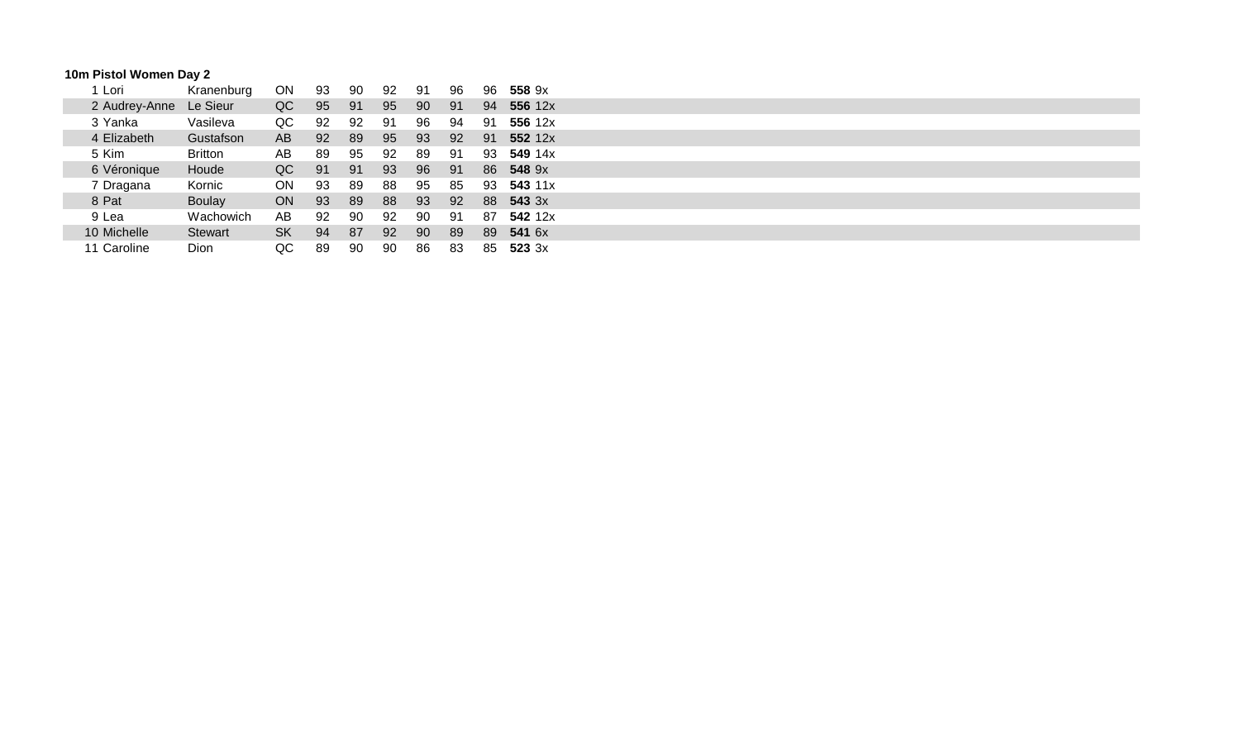# **10m Pistol Women Day 2**

| 1 Lori        | Kranenburg     | ON        | 93 | 90 | 92 | 91 | 96 | 96 | 558 9x  |
|---------------|----------------|-----------|----|----|----|----|----|----|---------|
| 2 Audrey-Anne | Le Sieur       | QC        | 95 | 91 | 95 | 90 | 91 | 94 | 556 12x |
| 3 Yanka       | Vasileva       | QC        | 92 | 92 | 91 | 96 | 94 | 91 | 556 12x |
| 4 Elizabeth   | Gustafson      | AB        | 92 | 89 | 95 | 93 | 92 | 91 | 552 12x |
| 5 Kim         | <b>Britton</b> | AB        | 89 | 95 | 92 | 89 | 91 | 93 | 549 14x |
| 6 Véronique   | Houde          | QC        | 91 | 91 | 93 | 96 | 91 | 86 | 548 9x  |
| 7 Dragana     | Kornic         | ON        | 93 | 89 | 88 | 95 | 85 | 93 | 543 11x |
| 8 Pat         | <b>Boulay</b>  | ON        | 93 | 89 | 88 | 93 | 92 | 88 | 543 3x  |
| 9 Lea         | Wachowich      | AB        | 92 | 90 | 92 | 90 | 91 | 87 | 542 12x |
| 10 Michelle   | <b>Stewart</b> | <b>SK</b> | 94 | 87 | 92 | 90 | 89 | 89 | 541 6x  |
| 11 Caroline   | Dion           | QC        | 89 | 90 | 90 | 86 | 83 | 85 | 523.3x  |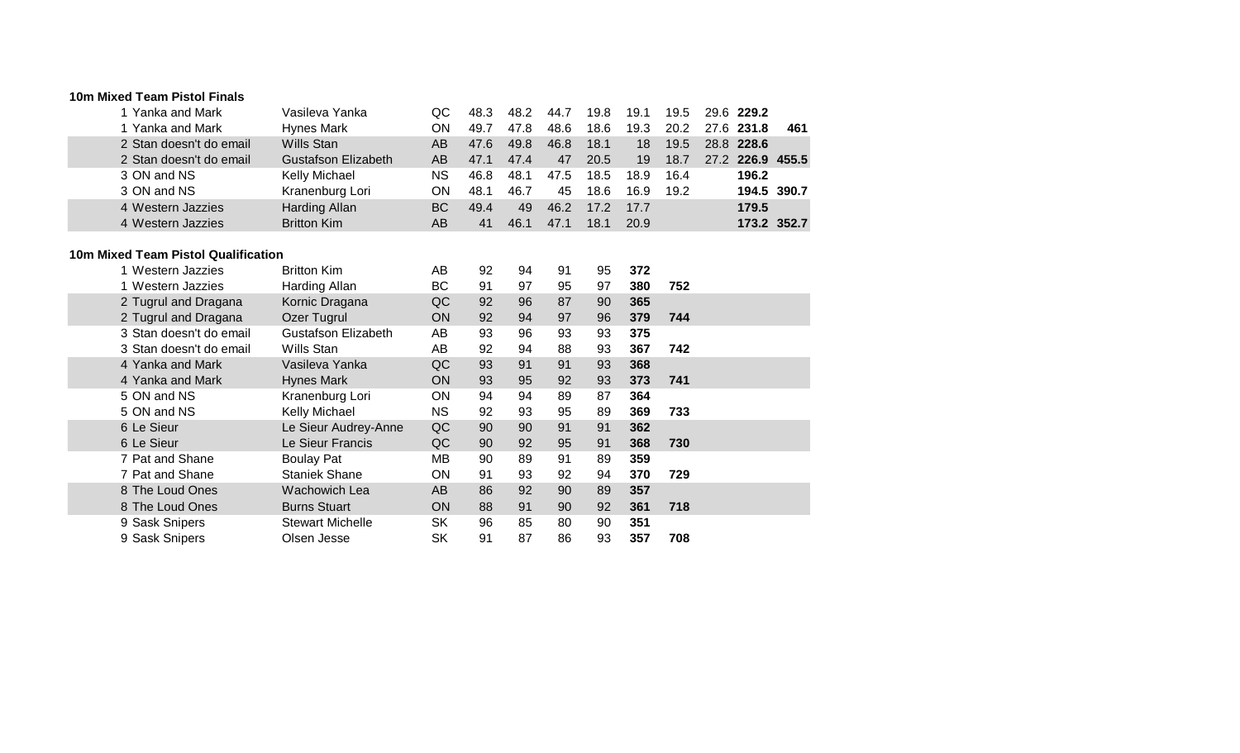#### **10m Mixed Team Pistol Finals**

| 1 Yanka and Mark        | Vasileva Yanka             | QC. | 48.3 | 48.2 | 44.7 | 19.8 | 19.1 | 19.5 | 29.6 229.2       |      |
|-------------------------|----------------------------|-----|------|------|------|------|------|------|------------------|------|
| 1 Yanka and Mark        | <b>Hynes Mark</b>          | ON  | 49.7 | 47.8 | 48.6 | 18.6 | 19.3 | 20.2 | 27.6 231.8       | -461 |
| 2 Stan doesn't do email | Wills Stan                 | AB. | 47.6 | 49.8 | 46.8 | 18.1 | 18   | 19.5 | 28.8 228.6       |      |
| 2 Stan doesn't do email | <b>Gustafson Elizabeth</b> | AB. | 47.1 | 47.4 | 47   | 20.5 | 19   | 18.7 | 27.2 226.9 455.5 |      |
| 3 ON and NS             | Kelly Michael              | NS. | 46.8 | 48.1 | 47.5 | 18.5 | 18.9 | 16.4 | 196.2            |      |
| 3 ON and NS             | Kranenburg Lori            | ΟN  | 48.1 | 46.7 | 45   | 18.6 | 16.9 | 19.2 | 194.5 390.7      |      |
| 4 Western Jazzies       | Harding Allan              | BC. | 49.4 | 49   | 46.2 | 17.2 | 17.7 |      | 179.5            |      |
| 4 Western Jazzies       | <b>Britton Kim</b>         | AΒ  | 41   | 46.1 | 47.1 | 18.1 | 20.9 |      | 173.2 352.7      |      |

## **10m Mixed Team Pistol Qualification**

| 1 Western Jazzies       | <b>Britton Kim</b>      | AВ        | 92 | 94 | 91 | 95 | 372 |     |
|-------------------------|-------------------------|-----------|----|----|----|----|-----|-----|
| 1 Western Jazzies       | Harding Allan           | BC        | 91 | 97 | 95 | 97 | 380 | 752 |
| 2 Tugrul and Dragana    | Kornic Dragana          | QC        | 92 | 96 | 87 | 90 | 365 |     |
| 2 Tugrul and Dragana    | Ozer Tugrul             | <b>ON</b> | 92 | 94 | 97 | 96 | 379 | 744 |
| 3 Stan doesn't do email | Gustafson Elizabeth     | AB        | 93 | 96 | 93 | 93 | 375 |     |
| 3 Stan doesn't do email | Wills Stan              | AB        | 92 | 94 | 88 | 93 | 367 | 742 |
| 4 Yanka and Mark        | Vasileva Yanka          | QC        | 93 | 91 | 91 | 93 | 368 |     |
| 4 Yanka and Mark        | Hynes Mark              | <b>ON</b> | 93 | 95 | 92 | 93 | 373 | 741 |
| 5 ON and NS             | Kranenburg Lori         | ΟN        | 94 | 94 | 89 | 87 | 364 |     |
| 5 ON and NS             | Kelly Michael           | NS.       | 92 | 93 | 95 | 89 | 369 | 733 |
| 6 Le Sieur              | Le Sieur Audrey-Anne    | QC        | 90 | 90 | 91 | 91 | 362 |     |
| 6 Le Sieur              | Le Sieur Francis        | QC        | 90 | 92 | 95 | 91 | 368 | 730 |
| 7 Pat and Shane         | <b>Boulay Pat</b>       | ΜВ        | 90 | 89 | 91 | 89 | 359 |     |
| 7 Pat and Shane         | <b>Staniek Shane</b>    | ΟN        | 91 | 93 | 92 | 94 | 370 | 729 |
| 8 The Loud Ones         | <b>Wachowich Lea</b>    | AB.       | 86 | 92 | 90 | 89 | 357 |     |
| 8 The Loud Ones         | <b>Burns Stuart</b>     | <b>ON</b> | 88 | 91 | 90 | 92 | 361 | 718 |
| 9 Sask Snipers          | <b>Stewart Michelle</b> | <b>SK</b> | 96 | 85 | 80 | 90 | 351 |     |
| 9 Sask Snipers          | Olsen Jesse             | <b>SK</b> | 91 | 87 | 86 | 93 | 357 | 708 |
|                         |                         |           |    |    |    |    |     |     |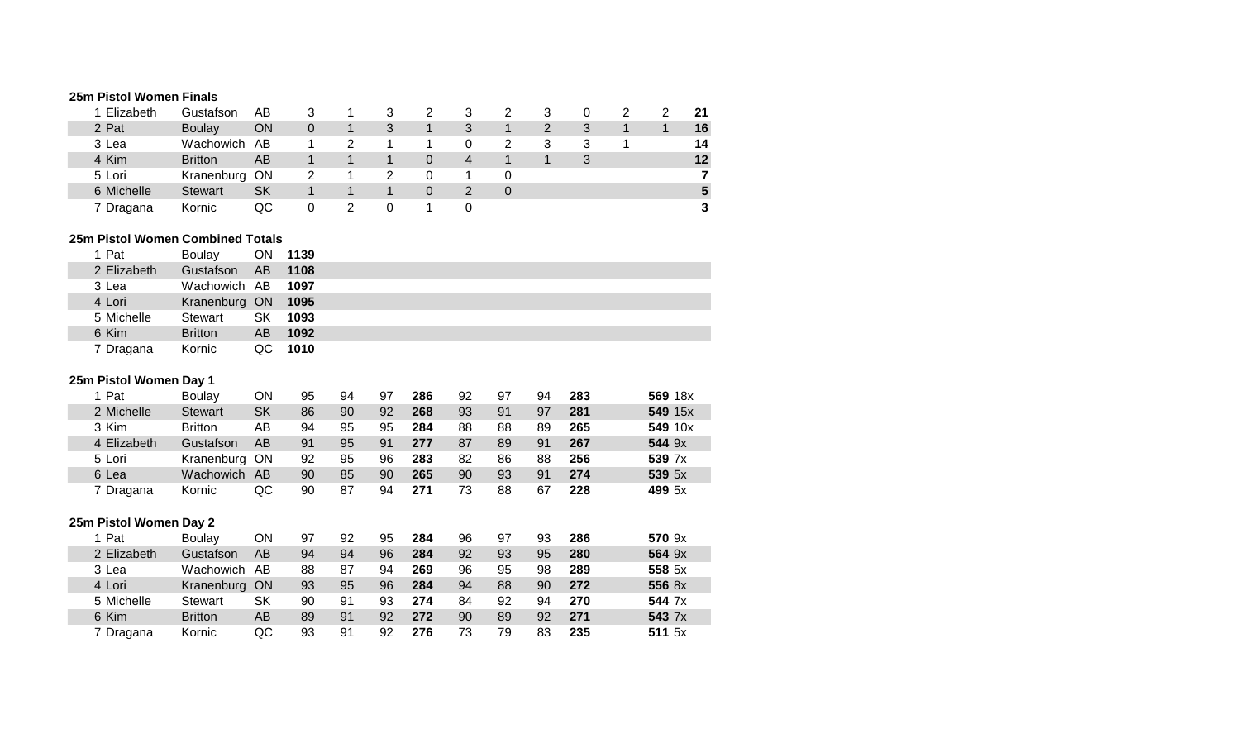# **25m Pistol Women Finals**

| 1 Elizabeth | Gustafson      | AΒ        | 3        |  |              |   |  |  | 21 |
|-------------|----------------|-----------|----------|--|--------------|---|--|--|----|
| 2 Pat       | Boulay         | ON        | $\Omega$ |  |              | 3 |  |  | 16 |
| 3 Lea       | Wachowich      | AB        |          |  |              | 0 |  |  | 14 |
| 4 Kim       | <b>Britton</b> | AB        |          |  | 0            | 4 |  |  | 12 |
| 5 Lori      | Kranenburg ON  |           | 2        |  |              |   |  |  |    |
| 6 Michelle  | <b>Stewart</b> | <b>SK</b> |          |  | <sup>0</sup> |   |  |  |    |
| 7 Dragana   | Kornic         | QC        |          |  |              |   |  |  |    |

#### **25m Pistol Women Combined Totals**

| 1 Pat       | Boulav             |      | ON 1139 |
|-------------|--------------------|------|---------|
| 2 Elizabeth | Gustafson          |      | AB 1108 |
| 3 Lea       | Wachowich AB 1097  |      |         |
| 4 Lori      | Kranenburg ON 1095 |      |         |
| 5 Michelle  | Stewart            | SK · | 1093    |
| 6 Kim       | <b>Britton</b>     |      | AB 1092 |
| 7 Dragana   | Kornic             |      | QC 1010 |

## **25m Pistol Women Day 1**

| 1 Pat       | Boulay           | OΝ        | 95 | 94 | 97 | 286 | 92 | 97 | 94 | 283 | 569 18x |
|-------------|------------------|-----------|----|----|----|-----|----|----|----|-----|---------|
| 2 Michelle  | <b>Stewart</b>   | SK        | 86 | 90 | 92 | 268 | 93 | 91 | 97 | 281 | 549 15x |
| 3 Kim       | <b>Britton</b>   | AB        | 94 | 95 | 95 | 284 | 88 | 88 | 89 | 265 | 549 10x |
| 4 Elizabeth | Gustafson        | AB        | 91 | 95 | 91 | 277 | 87 | 89 | 91 | 267 | 544 9x  |
| 5 Lori      | Kranenburg       | <b>ON</b> | 92 | 95 | 96 | 283 | 82 | 86 | 88 | 256 | 539 7x  |
| 6 Lea       | <b>Wachowich</b> | <b>AB</b> | 90 | 85 | 90 | 265 | 90 | 93 | 91 | 274 | 539 5x  |
| 7 Dragana   | Kornic           | QC        | 90 | 87 | 94 | 271 | 73 | 88 | 67 | 228 | 499 5x  |

# **25m Pistol Women Day 2**

| 1 Pat       | <b>Boulay</b>  | OΝ        | 97 | 92 | 95 | 284 | 96 | 97 | 93 | 286 | 570 9x |
|-------------|----------------|-----------|----|----|----|-----|----|----|----|-----|--------|
| 2 Elizabeth | Gustafson      | AB        | 94 | 94 | 96 | 284 | 92 | 93 | 95 | 280 | 564 9x |
| 3 Lea       | Wachowich      | AB        | 88 | 87 | 94 | 269 | 96 | 95 | 98 | 289 | 558 5x |
| 4 Lori      | Kranenburg     | <b>ON</b> | 93 | 95 | 96 | 284 | 94 | 88 | 90 | 272 | 556 8x |
| 5 Michelle  | Stewart        | SK        | 90 | 91 | 93 | 274 | 84 | 92 | 94 | 270 | 544 7x |
| 6 Kim       | <b>Britton</b> | AB        | 89 | 91 | 92 | 272 | 90 | 89 | 92 | 271 | 543 7x |
| 7 Dragana   | Kornic         | QC        | 93 | 91 | 92 | 276 | 73 | 79 | 83 | 235 | 511 5x |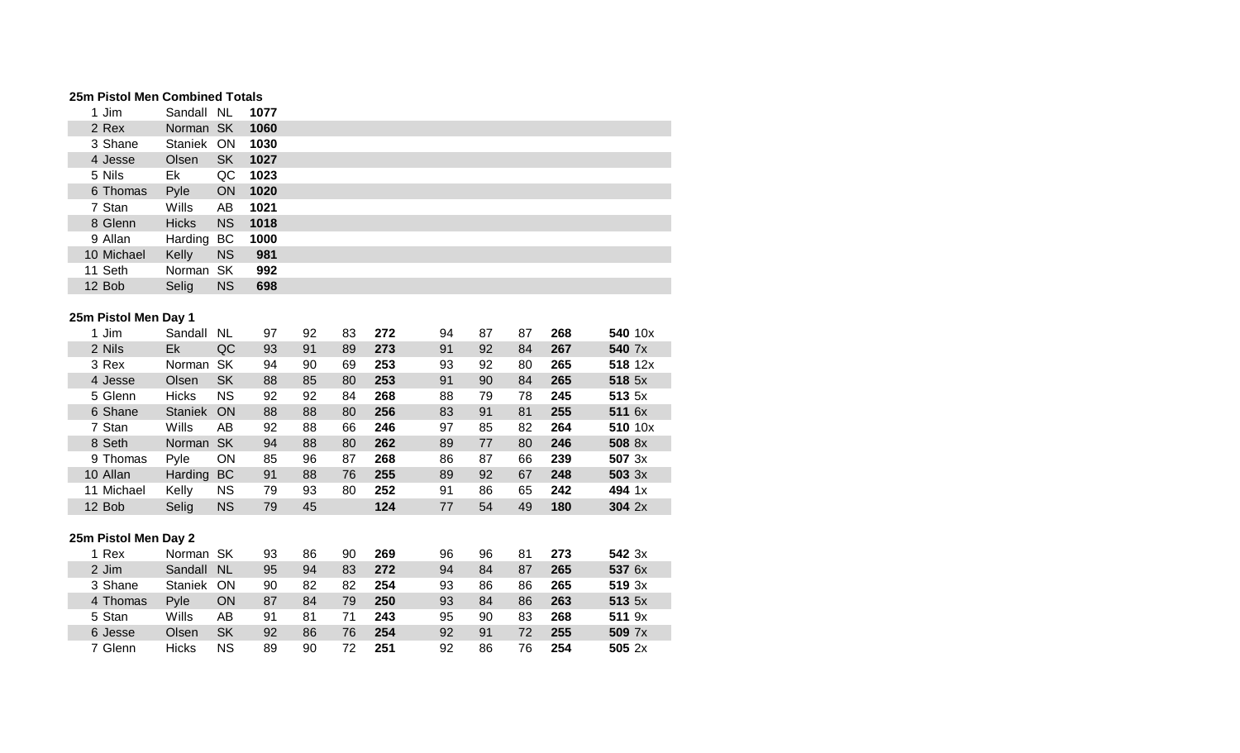## **25m Pistol Men Combined Totals**

| 1 Jim      | Sandall NL     |           | 1077    |  |
|------------|----------------|-----------|---------|--|
| 2 Rex      | Norman SK 1060 |           |         |  |
| 3 Shane    | Staniek ON     |           | 1030    |  |
| 4 Jesse    | Olsen          |           | SK 1027 |  |
| 5 Nils     | Ek             | QC        | 1023    |  |
| 6 Thomas   | Pyle           | <b>ON</b> | 1020    |  |
| 7 Stan     | Wills          | AB        | 1021    |  |
| 8 Glenn    | <b>Hicks</b>   | NS.       | 1018    |  |
| 9 Allan    | Harding BC     |           | 1000    |  |
| 10 Michael | Kelly          | <b>NS</b> | 981     |  |
| 11 Seth    | Norman SK      |           | 992     |  |
| 12 Bob     | Selig          | <b>NS</b> | 698     |  |
|            |                |           |         |  |

## **25m Pistol Men Day 1**

|  | 1 Jim                | Sandall        | <b>NL</b> | 97 | 92 | 83 | 272 | 94 | 87 | 87 | 268 | 540 10x |         |
|--|----------------------|----------------|-----------|----|----|----|-----|----|----|----|-----|---------|---------|
|  | 2 Nils               | Ek             | QC        | 93 | 91 | 89 | 273 | 91 | 92 | 84 | 267 | 540 7x  |         |
|  | 3 Rex                | Norman         | <b>SK</b> | 94 | 90 | 69 | 253 | 93 | 92 | 80 | 265 |         | 518 12x |
|  | 4 Jesse              | Olsen          | <b>SK</b> | 88 | 85 | 80 | 253 | 91 | 90 | 84 | 265 | 518 5x  |         |
|  | 5 Glenn              | <b>Hicks</b>   | <b>NS</b> | 92 | 92 | 84 | 268 | 88 | 79 | 78 | 245 | 513 5x  |         |
|  | 6 Shane              | <b>Staniek</b> | ON        | 88 | 88 | 80 | 256 | 83 | 91 | 81 | 255 | 511 6x  |         |
|  | 7 Stan               | Wills          | AB        | 92 | 88 | 66 | 246 | 97 | 85 | 82 | 264 |         | 510 10x |
|  | 8 Seth               | Norman         | <b>SK</b> | 94 | 88 | 80 | 262 | 89 | 77 | 80 | 246 | 508 8x  |         |
|  | 9 Thomas             | Pyle           | ON        | 85 | 96 | 87 | 268 | 86 | 87 | 66 | 239 | 507 3x  |         |
|  | 10 Allan             | Harding        | BC        | 91 | 88 | 76 | 255 | 89 | 92 | 67 | 248 | 503 3x  |         |
|  | 11 Michael           | Kelly          | <b>NS</b> | 79 | 93 | 80 | 252 | 91 | 86 | 65 | 242 | 494 1x  |         |
|  | 12 Bob               | Selig          | <b>NS</b> | 79 | 45 |    | 124 | 77 | 54 | 49 | 180 | 304 2x  |         |
|  |                      |                |           |    |    |    |     |    |    |    |     |         |         |
|  | 25m Pistol Men Day 2 |                |           |    |    |    |     |    |    |    |     |         |         |
|  | 1 Rex                | Norman SK      |           | 93 | 86 | 90 | 269 | 96 | 96 | 81 | 273 | 542 3x  |         |
|  | 2 Jim                | Sandall        | <b>NL</b> | 95 | 94 | 83 | 272 | 94 | 84 | 87 | 265 | 537 6x  |         |
|  | 3 Shane              | Staniek        | <b>ON</b> | 90 | 82 | 82 | 254 | 93 | 86 | 86 | 265 | 519.3x  |         |
|  | 4 Thomas             | Pyle           | ON        | 87 | 84 | 79 | 250 | 93 | 84 | 86 | 263 | 513 5x  |         |
|  | 5 Stan               | Wills          | AB        | 91 | 81 | 71 | 243 | 95 | 90 | 83 | 268 | 511 9x  |         |
|  | 6 Jesse              | Olsen          | <b>SK</b> | 92 | 86 | 76 | 254 | 92 | 91 | 72 | 255 | 509 7x  |         |
|  | 7 Glenn              | <b>Hicks</b>   | ΝS        | 89 | 90 | 72 | 251 | 92 | 86 | 76 | 254 | 5052x   |         |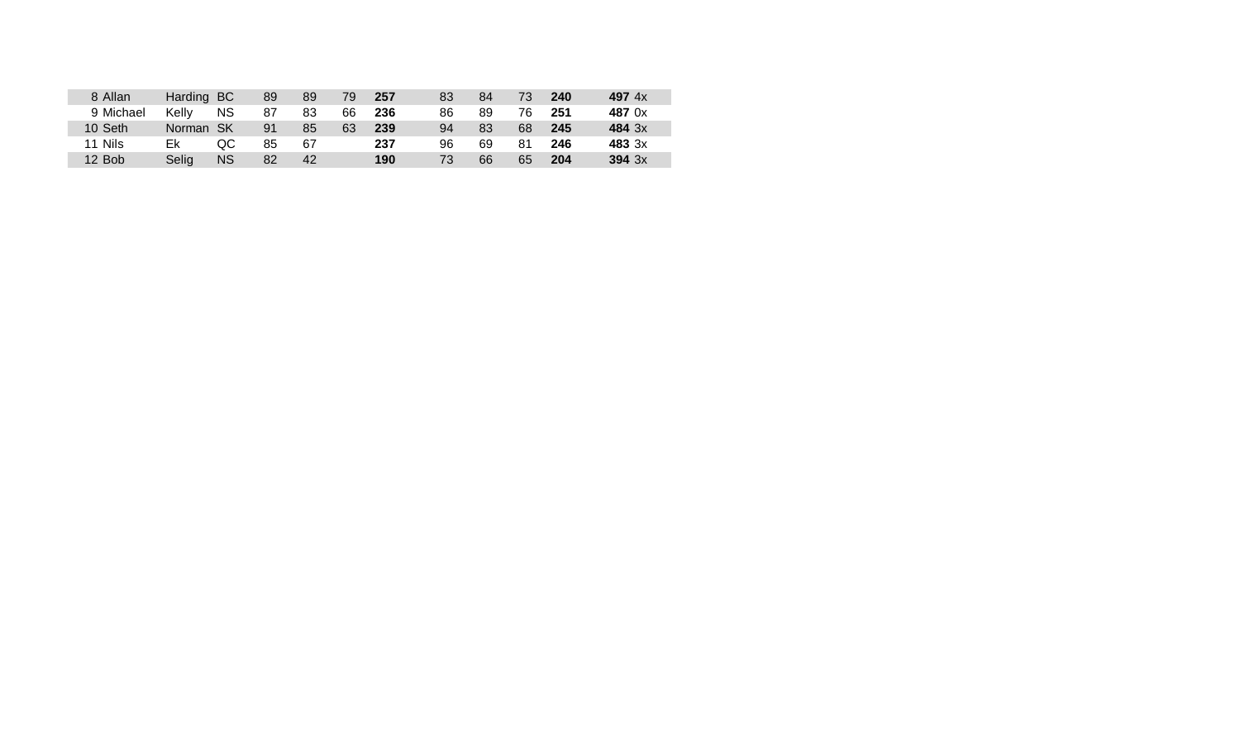| 8 Allan   | Harding BC |           | 89 | 89 | 79 | 257 | 83  | 84 | 73 | 240 | 497 $4x$ |
|-----------|------------|-----------|----|----|----|-----|-----|----|----|-----|----------|
| 9 Michael | Kelly      | <b>NS</b> | 87 | 83 | 66 | 236 | 86  | 89 | 76 | 251 | 487 0x   |
| 10 Seth   | Norman SK  |           | 91 | 85 | 63 | 239 | 94  | 83 | 68 | 245 | 484 3x   |
| 11 Nils   | Ek         | QC.       | 85 | 67 |    | 237 | 96  | 69 | 81 | 246 | 483 3x   |
| 12 Bob    | Selig      | ΝS        | 82 | 42 |    | 190 | 73. | 66 | 65 | 204 | 394.3x   |